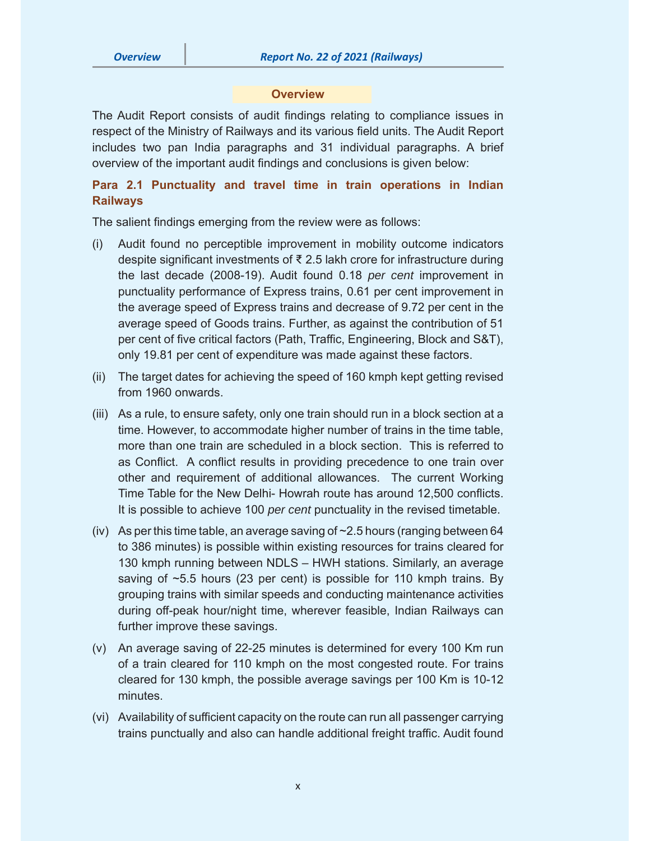#### **Overview**

The Audit Report consists of audit findings relating to compliance issues in respect of the Ministry of Railways and its various field units. The Audit Report includes two pan India paragraphs and 31 individual paragraphs. A brief overview of the important audit findings and conclusions is given below:

## **Para 2.1 Punctuality and travel time in train operations in Indian Railways**

The salient findings emerging from the review were as follows:

- (i) Audit found no perceptible improvement in mobility outcome indicators despite significant investments of ₹ 2.5 lakh crore for infrastructure during the last decade (2008-19). Audit found 0.18 *per cent* improvement in punctuality performance of Express trains, 0.61 per cent improvement in the average speed of Express trains and decrease of 9.72 per cent in the average speed of Goods trains. Further, as against the contribution of 51 per cent of five critical factors (Path, Traffic, Engineering, Block and S&T), only 19.81 per cent of expenditure was made against these factors.
- (ii) The target dates for achieving the speed of 160 kmph kept getting revised from 1960 onwards.
- (iii) As a rule, to ensure safety, only one train should run in a block section at a time. However, to accommodate higher number of trains in the time table, more than one train are scheduled in a block section. This is referred to as Conflict. A conflict results in providing precedence to one train over other and requirement of additional allowances. The current Working Time Table for the New Delhi- Howrah route has around 12,500 conflicts. It is possible to achieve 100 *per cent* punctuality in the revised timetable.
- (iv) As per this time table, an average saving of ~2.5 hours (ranging between 64 to 386 minutes) is possible within existing resources for trains cleared for 130 kmph running between NDLS – HWH stations. Similarly, an average saving of ~5.5 hours (23 per cent) is possible for 110 kmph trains. By grouping trains with similar speeds and conducting maintenance activities during off-peak hour/night time, wherever feasible, Indian Railways can further improve these savings.
- (v) An average saving of 22-25 minutes is determined for every 100 Km run of a train cleared for 110 kmph on the most congested route. For trains cleared for 130 kmph, the possible average savings per 100 Km is 10-12 minutes.
- (vi) Availability of sufficient capacity on the route can run all passenger carrying trains punctually and also can handle additional freight traffic. Audit found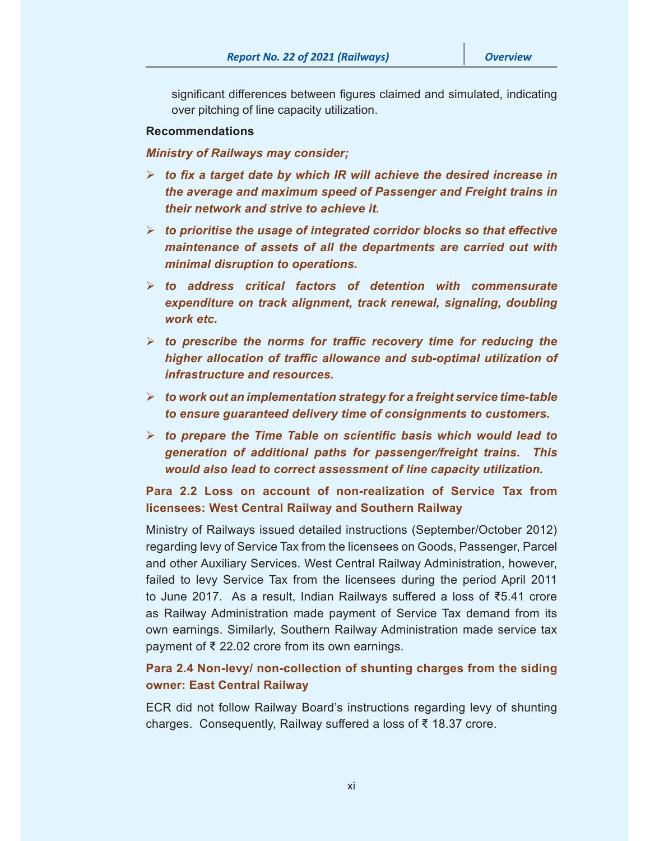significant differences between figures claimed and simulated, indicating over pitching of line capacity utilization.

#### **Recommendations**

*Ministry of Railways may consider;* 

- *to fix a target date by which IR will achieve the desired increase in the average and maximum speed of Passenger and Freight trains in their network and strive to achieve it.*
- $\triangleright$  to prioritise the usage of integrated corridor blocks so that effective *maintenance of assets of all the departments are carried out with minimal disruption to operations.*
- *to address critical factors of detention with commensurate expenditure on track alignment, track renewal, signaling, doubling work etc.*
- *to prescribe the norms for traffic recovery time for reducing the higher allocation of traffic allowance and sub-optimal utilization of infrastructure and resources.*
- *to work out an implementation strategy for a freight service time-table to ensure guaranteed delivery time of consignments to customers.*
- *to prepare the Time Table on scientific basis which would lead to generation of additional paths for passenger/freight trains. This would also lead to correct assessment of line capacity utilization.*

# **Para 2.2 Loss on account of non-realization of Service Tax from licensees: West Central Railway and Southern Railway**

Ministry of Railways issued detailed instructions (September/October 2012) regarding levy of Service Tax from the licensees on Goods, Passenger, Parcel and other Auxiliary Services. West Central Railway Administration, however, failed to levy Service Tax from the licensees during the period April 2011 to June 2017. As a result, Indian Railways suffered a loss of ₹5.41 crore as Railway Administration made payment of Service Tax demand from its own earnings. Similarly, Southern Railway Administration made service tax payment of ₹ 22.02 crore from its own earnings.

## **Para 2.4 Non-levy/ non-collection of shunting charges from the siding owner: East Central Railway**

ECR did not follow Railway Board's instructions regarding levy of shunting charges. Consequently, Railway suffered a loss of ₹ 18.37 crore.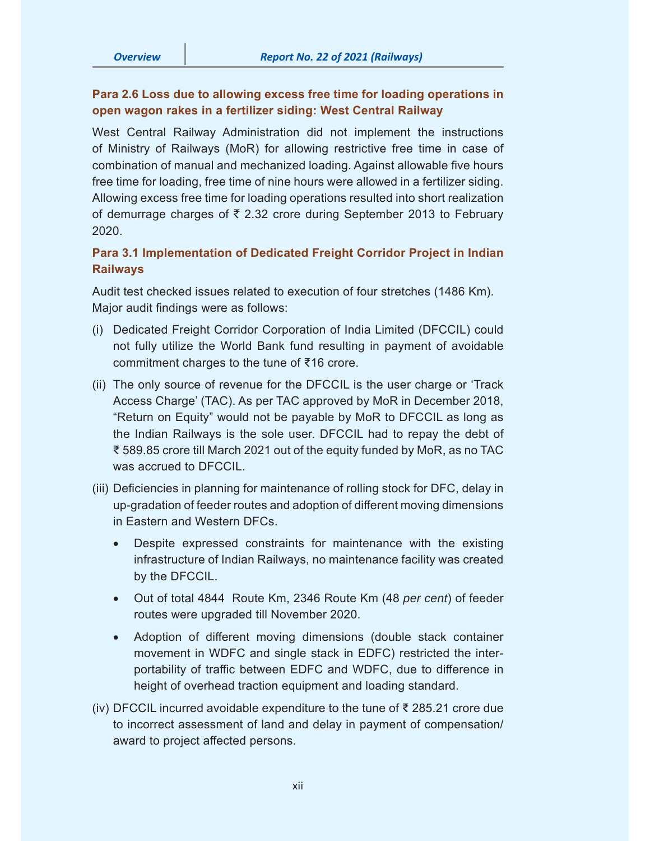## **Para 2.6 Loss due to allowing excess free time for loading operations in open wagon rakes in a fertilizer siding: West Central Railway**

West Central Railway Administration did not implement the instructions of Ministry of Railways (MoR) for allowing restrictive free time in case of combination of manual and mechanized loading. Against allowable five hours free time for loading, free time of nine hours were allowed in a fertilizer siding. Allowing excess free time for loading operations resulted into short realization of demurrage charges of  $\bar{\tau}$  2.32 crore during September 2013 to February 2020.

## **Para 3.1 Implementation of Dedicated Freight Corridor Project in Indian Railways**

Audit test checked issues related to execution of four stretches (1486 Km). Major audit findings were as follows:

- (i) Dedicated Freight Corridor Corporation of India Limited (DFCCIL) could not fully utilize the World Bank fund resulting in payment of avoidable commitment charges to the tune of ₹16 crore.
- (ii) The only source of revenue for the DFCCIL is the user charge or 'Track Access Charge' (TAC). As per TAC approved by MoR in December 2018, "Return on Equity" would not be payable by MoR to DFCCIL as long as the Indian Railways is the sole user. DFCCIL had to repay the debt of ₹ 589.85 crore till March 2021 out of the equity funded by MoR, as no TAC was accrued to DFCCIL.
- (iii) Deficiencies in planning for maintenance of rolling stock for DFC, delay in up-gradation of feeder routes and adoption of different moving dimensions in Eastern and Western DFCs.
	- Despite expressed constraints for maintenance with the existing infrastructure of Indian Railways, no maintenance facility was created by the DFCCIL.
	- Out of total 4844 Route Km, 2346 Route Km (48 *per cent*) of feeder routes were upgraded till November 2020.
	- Adoption of different moving dimensions (double stack container movement in WDFC and single stack in EDFC) restricted the interportability of traffic between EDFC and WDFC, due to difference in height of overhead traction equipment and loading standard.
- (iv) DFCCIL incurred avoidable expenditure to the tune of ₹ 285.21 crore due to incorrect assessment of land and delay in payment of compensation/ award to project affected persons.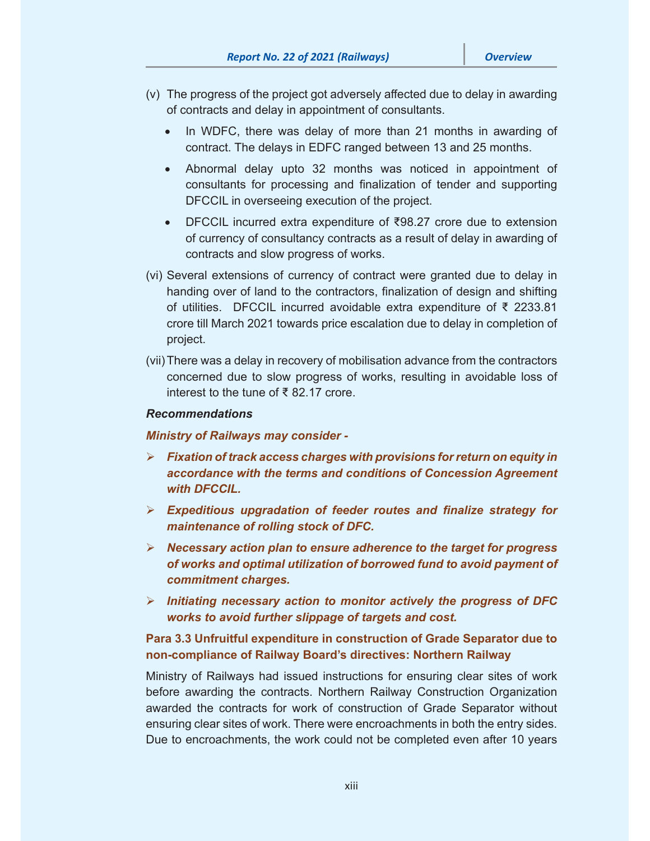- (v) The progress of the project got adversely affected due to delay in awarding of contracts and delay in appointment of consultants.
	- In WDFC, there was delay of more than 21 months in awarding of contract. The delays in EDFC ranged between 13 and 25 months.
	- Abnormal delay upto 32 months was noticed in appointment of consultants for processing and finalization of tender and supporting DFCCIL in overseeing execution of the project.
	- DFCCIL incurred extra expenditure of ₹98.27 crore due to extension of currency of consultancy contracts as a result of delay in awarding of contracts and slow progress of works.
- (vi) Several extensions of currency of contract were granted due to delay in handing over of land to the contractors, finalization of design and shifting of utilities. DFCCIL incurred avoidable extra expenditure of ₹ 2233.81 crore till March 2021 towards price escalation due to delay in completion of project.
- (vii) There was a delay in recovery of mobilisation advance from the contractors concerned due to slow progress of works, resulting in avoidable loss of interest to the tune of ₹ 82.17 crore.

#### *Recommendations*

#### *Ministry of Railways may consider -*

- *Fixation of track access charges with provisions for return on equity in accordance with the terms and conditions of Concession Agreement with DFCCIL.*
- *Expeditious upgradation of feeder routes and finalize strategy for maintenance of rolling stock of DFC.*
- *Necessary action plan to ensure adherence to the target for progress of works and optimal utilization of borrowed fund to avoid payment of commitment charges.*
- *Initiating necessary action to monitor actively the progress of DFC works to avoid further slippage of targets and cost.*

### **Para 3.3 Unfruitful expenditure in construction of Grade Separator due to non-compliance of Railway Board's directives: Northern Railway**

Ministry of Railways had issued instructions for ensuring clear sites of work before awarding the contracts. Northern Railway Construction Organization awarded the contracts for work of construction of Grade Separator without ensuring clear sites of work. There were encroachments in both the entry sides. Due to encroachments, the work could not be completed even after 10 years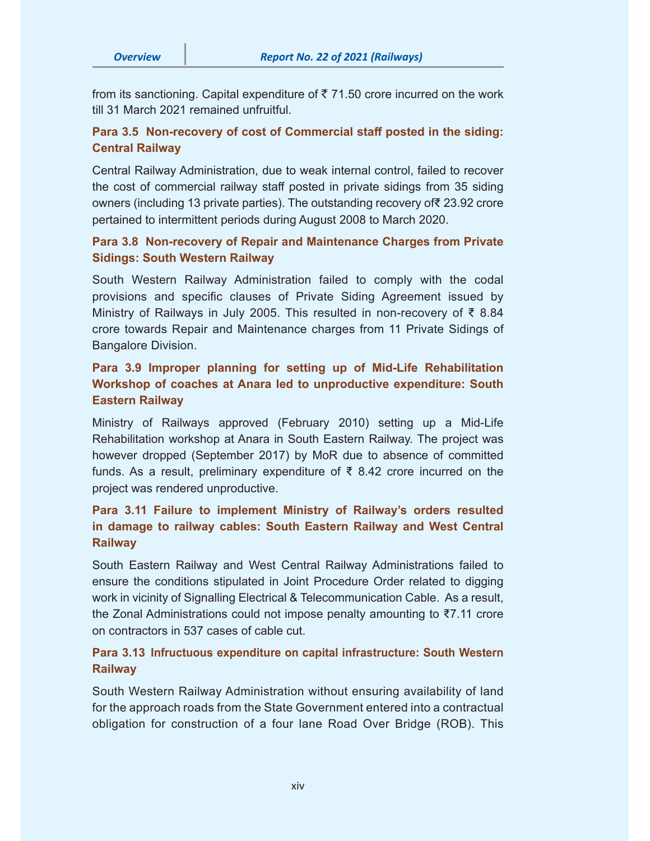from its sanctioning. Capital expenditure of  $\bar{\tau}$  71.50 crore incurred on the work till 31 March 2021 remained unfruitful.

### **Para 3.5 Non-recovery of cost of Commercial staff posted in the siding: Central Railway**

Central Railway Administration, due to weak internal control, failed to recover the cost of commercial railway staff posted in private sidings from 35 siding owners (including 13 private parties). The outstanding recovery of₹ 23.92 crore pertained to intermittent periods during August 2008 to March 2020.

## **Para 3.8 Non-recovery of Repair and Maintenance Charges from Private Sidings: South Western Railway**

South Western Railway Administration failed to comply with the codal provisions and specific clauses of Private Siding Agreement issued by Ministry of Railways in July 2005. This resulted in non-recovery of ₹ 8.84 crore towards Repair and Maintenance charges from 11 Private Sidings of Bangalore Division.

# **Para 3.9 Improper planning for setting up of Mid-Life Rehabilitation Workshop of coaches at Anara led to unproductive expenditure: South Eastern Railway**

Ministry of Railways approved (February 2010) setting up a Mid-Life Rehabilitation workshop at Anara in South Eastern Railway. The project was however dropped (September 2017) by MoR due to absence of committed funds. As a result, preliminary expenditure of  $\bar{\tau}$  8.42 crore incurred on the project was rendered unproductive.

# **Para 3.11 Failure to implement Ministry of Railway's orders resulted in damage to railway cables: South Eastern Railway and West Central Railway**

South Eastern Railway and West Central Railway Administrations failed to ensure the conditions stipulated in Joint Procedure Order related to digging work in vicinity of Signalling Electrical & Telecommunication Cable. As a result, the Zonal Administrations could not impose penalty amounting to ₹7.11 crore on contractors in 537 cases of cable cut.

### **Para 3.13 Infructuous expenditure on capital infrastructure: South Western Railway**

South Western Railway Administration without ensuring availability of land for the approach roads from the State Government entered into a contractual obligation for construction of a four lane Road Over Bridge (ROB). This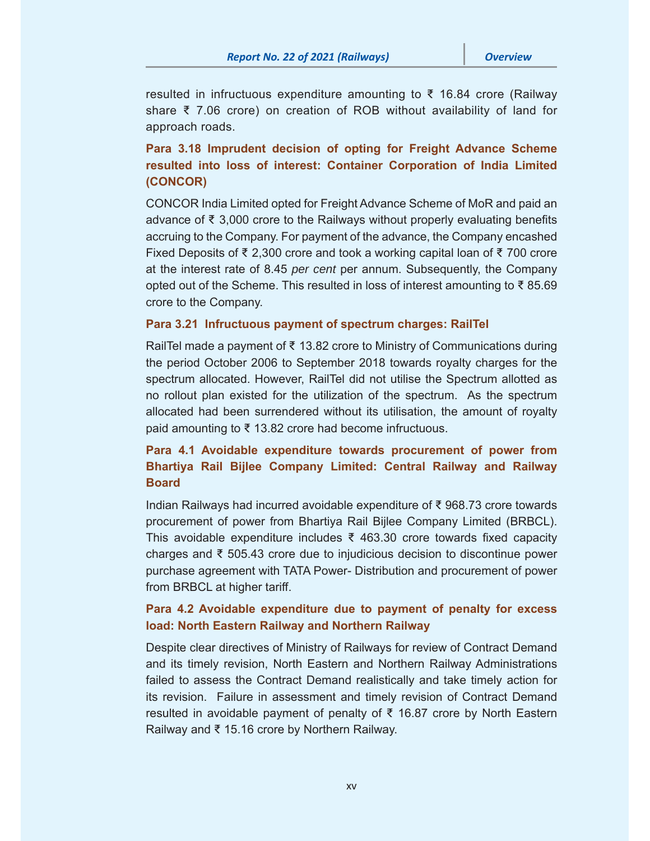resulted in infructuous expenditure amounting to ₹ 16.84 crore (Railway share ₹ 7.06 crore) on creation of ROB without availability of land for approach roads.

## **Para 3.18 Imprudent decision of opting for Freight Advance Scheme resulted into loss of interest: Container Corporation of India Limited (CONCOR)**

CONCOR India Limited opted for Freight Advance Scheme of MoR and paid an advance of ₹ 3,000 crore to the Railways without properly evaluating benefits accruing to the Company. For payment of the advance, the Company encashed Fixed Deposits of ₹ 2,300 crore and took a working capital loan of ₹ 700 crore at the interest rate of 8.45 *per cent* per annum. Subsequently, the Company opted out of the Scheme. This resulted in loss of interest amounting to ₹ 85.69 crore to the Company.

#### **Para 3.21 Infructuous payment of spectrum charges: RailTel**

RailTel made a payment of ₹ 13.82 crore to Ministry of Communications during the period October 2006 to September 2018 towards royalty charges for the spectrum allocated. However, RailTel did not utilise the Spectrum allotted as no rollout plan existed for the utilization of the spectrum. As the spectrum allocated had been surrendered without its utilisation, the amount of royalty paid amounting to ₹ 13.82 crore had become infructuous.

# **Para 4.1 Avoidable expenditure towards procurement of power from Bhartiya Rail Bijlee Company Limited: Central Railway and Railway Board**

Indian Railways had incurred avoidable expenditure of ₹ 968.73 crore towards procurement of power from Bhartiya Rail Bijlee Company Limited (BRBCL). This avoidable expenditure includes  $\bar{\xi}$  463.30 crore towards fixed capacity charges and ₹ 505.43 crore due to injudicious decision to discontinue power purchase agreement with TATA Power- Distribution and procurement of power from BRBCL at higher tariff.

## **Para 4.2 Avoidable expenditure due to payment of penalty for excess load: North Eastern Railway and Northern Railway**

Despite clear directives of Ministry of Railways for review of Contract Demand and its timely revision, North Eastern and Northern Railway Administrations failed to assess the Contract Demand realistically and take timely action for its revision. Failure in assessment and timely revision of Contract Demand resulted in avoidable payment of penalty of ₹ 16.87 crore by North Eastern Railway and ₹ 15.16 crore by Northern Railway.